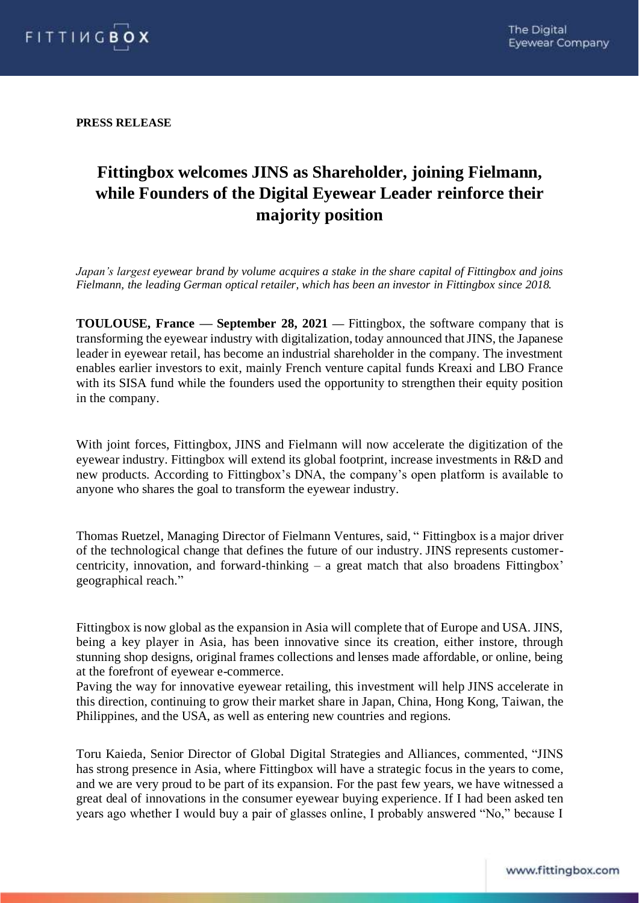

**PRESS RELEASE**

# **Fittingbox welcomes JINS as Shareholder, joining Fielmann, while Founders of the Digital Eyewear Leader reinforce their majority position**

*Japan's largest eyewear brand by volume acquires a stake in the share capital of Fittingbox and joins Fielmann, the leading German optical retailer, which has been an investor in Fittingbox since 2018.*

**TOULOUSE, France — September 28, 2021 —** Fittingbox, the software company that is transforming the eyewear industry with digitalization, today announced that JINS, the Japanese leader in eyewear retail, has become an industrial shareholder in the company. The investment enables earlier investors to exit, mainly French venture capital funds Kreaxi and LBO France with its SISA fund while the founders used the opportunity to strengthen their equity position in the company.

With joint forces, Fittingbox, JINS and Fielmann will now accelerate the digitization of the eyewear industry. Fittingbox will extend its global footprint, increase investments in R&D and new products. According to Fittingbox's DNA, the company's open platform is available to anyone who shares the goal to transform the eyewear industry.

Thomas Ruetzel, Managing Director of Fielmann Ventures, said, " Fittingbox is a major driver of the technological change that defines the future of our industry. JINS represents customercentricity, innovation, and forward-thinking – a great match that also broadens Fittingbox' geographical reach."

Fittingbox is now global as the expansion in Asia will complete that of Europe and USA. JINS, being a key player in Asia, has been innovative since its creation, either instore, through stunning shop designs, original frames collections and lenses made affordable, or online, being at the forefront of eyewear e-commerce.

Paving the way for innovative eyewear retailing, this investment will help JINS accelerate in this direction, continuing to grow their market share in Japan, China, Hong Kong, Taiwan, the Philippines, and the USA, as well as entering new countries and regions.

Toru Kaieda, Senior Director of Global Digital Strategies and Alliances, commented, "JINS has strong presence in Asia, where Fittingbox will have a strategic focus in the years to come, and we are very proud to be part of its expansion. For the past few years, we have witnessed a great deal of innovations in the consumer eyewear buying experience. If I had been asked ten years ago whether I would buy a pair of glasses online, I probably answered "No," because I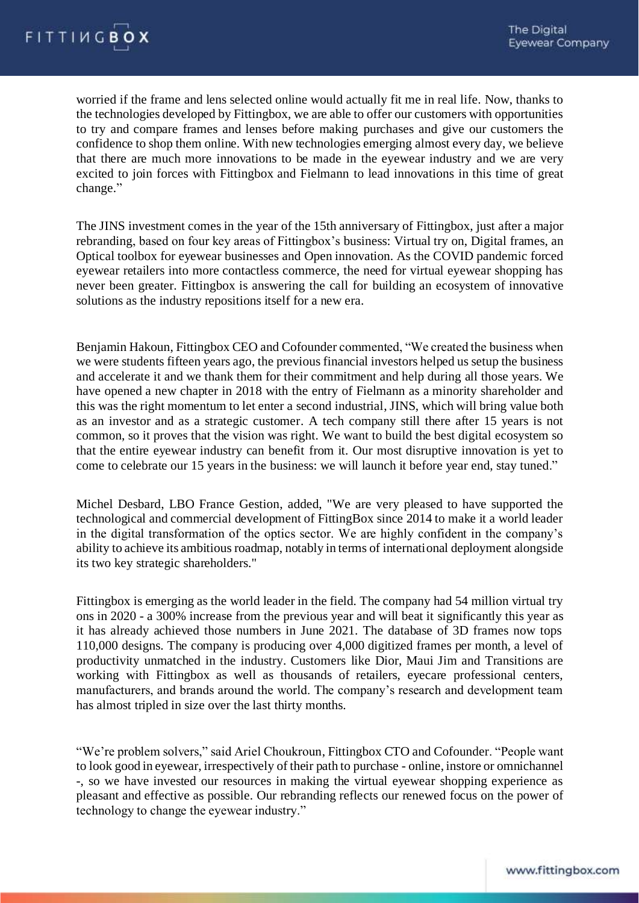

worried if the frame and lens selected online would actually fit me in real life. Now, thanks to the technologies developed by Fittingbox, we are able to offer our customers with opportunities to try and compare frames and lenses before making purchases and give our customers the confidence to shop them online. With new technologies emerging almost every day, we believe that there are much more innovations to be made in the eyewear industry and we are very excited to join forces with Fittingbox and Fielmann to lead innovations in this time of great change."

The JINS investment comes in the year of the 15th anniversary of Fittingbox, just after a major rebranding, based on four key areas of Fittingbox's business: Virtual try on, Digital frames, an Optical toolbox for eyewear businesses and Open innovation. As the COVID pandemic forced eyewear retailers into more contactless commerce, the need for virtual eyewear shopping has never been greater. Fittingbox is answering the call for building an ecosystem of innovative solutions as the industry repositions itself for a new era.

Benjamin Hakoun, Fittingbox CEO and Cofounder commented, "We created the business when we were students fifteen years ago, the previous financial investors helped us setup the business and accelerate it and we thank them for their commitment and help during all those years. We have opened a new chapter in 2018 with the entry of Fielmann as a minority shareholder and this was the right momentum to let enter a second industrial, JINS, which will bring value both as an investor and as a strategic customer. A tech company still there after 15 years is not common, so it proves that the vision was right. We want to build the best digital ecosystem so that the entire eyewear industry can benefit from it. Our most disruptive innovation is yet to come to celebrate our 15 years in the business: we will launch it before year end, stay tuned."

Michel Desbard, LBO France Gestion, added, "We are very pleased to have supported the technological and commercial development of FittingBox since 2014 to make it a world leader in the digital transformation of the optics sector. We are highly confident in the company's ability to achieve its ambitious roadmap, notably in terms of international deployment alongside its two key strategic shareholders."

Fittingbox is emerging as the world leader in the field. The company had 54 million virtual try ons in 2020 - a 300% increase from the previous year and will beat it significantly this year as it has already achieved those numbers in June 2021. The database of 3D frames now tops 110,000 designs. The company is producing over 4,000 digitized frames per month, a level of productivity unmatched in the industry. Customers like Dior, Maui Jim and Transitions are working with Fittingbox as well as thousands of retailers, eyecare professional centers, manufacturers, and brands around the world. The company's research and development team has almost tripled in size over the last thirty months.

"We're problem solvers," said Ariel Choukroun, Fittingbox CTO and Cofounder. "People want to look good in eyewear, irrespectively of their path to purchase - online, instore or omnichannel -, so we have invested our resources in making the virtual eyewear shopping experience as pleasant and effective as possible. Our rebranding reflects our renewed focus on the power of technology to change the eyewear industry."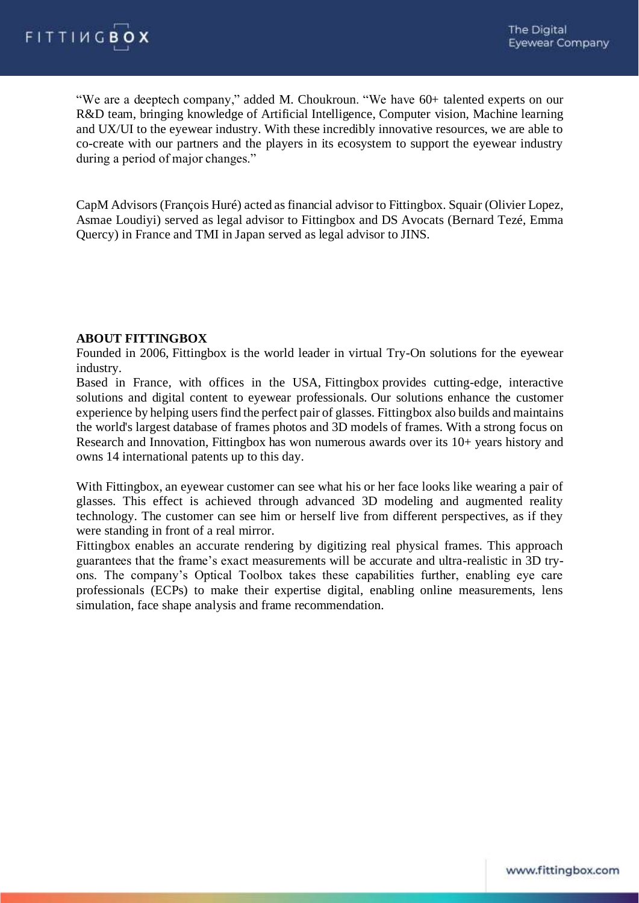

"We are a deeptech company," added M. Choukroun. "We have 60+ talented experts on our R&D team, bringing knowledge of Artificial Intelligence, Computer vision, Machine learning and UX/UI to the eyewear industry. With these incredibly innovative resources, we are able to co-create with our partners and the players in its ecosystem to support the eyewear industry during a period of major changes."

CapM Advisors (François Huré) acted as financial advisor to Fittingbox. Squair (Olivier Lopez, Asmae Loudiyi) served as legal advisor to Fittingbox and DS Avocats (Bernard Tezé, Emma Quercy) in France and TMI in Japan served as legal advisor to JINS.

### **ABOUT FITTINGBOX**

Founded in 2006, Fittingbox is the world leader in virtual Try-On solutions for the eyewear industry.

Based in France, with offices in the USA, Fittingbox provides cutting-edge, interactive solutions and digital content to eyewear professionals. Our solutions enhance the customer experience by helping users find the perfect pair of glasses. Fittingbox also builds and maintains the world's largest database of frames photos and 3D models of frames. With a strong focus on Research and Innovation, Fittingbox has won numerous awards over its 10+ years history and owns 14 international patents up to this day.

With Fittingbox, an eyewear customer can see what his or her face looks like wearing a pair of glasses. This effect is achieved through advanced 3D modeling and augmented reality technology. The customer can see him or herself live from different perspectives, as if they were standing in front of a real mirror.

Fittingbox enables an accurate rendering by digitizing real physical frames. This approach guarantees that the frame's exact measurements will be accurate and ultra-realistic in 3D tryons. The company's Optical Toolbox takes these capabilities further, enabling eye care professionals (ECPs) to make their expertise digital, enabling online measurements, lens simulation, face shape analysis and frame recommendation.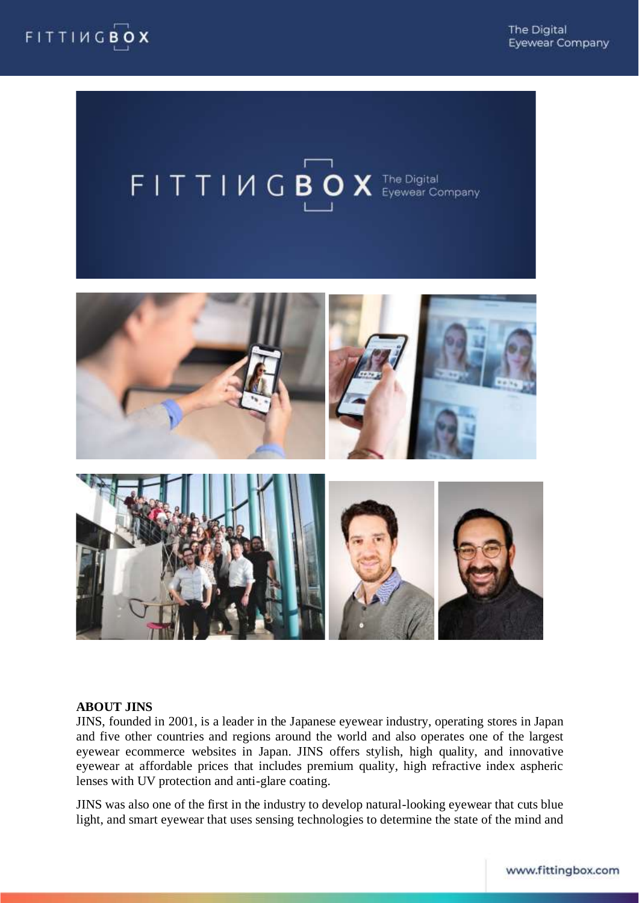





#### **ABOUT JINS**

JINS, founded in 2001, is a leader in the Japanese eyewear industry, operating stores in Japan and five other countries and regions around the world and also operates one of the largest eyewear ecommerce websites in Japan. JINS offers stylish, high quality, and innovative eyewear at affordable prices that includes premium quality, high refractive index aspheric lenses with UV protection and anti-glare coating.

JINS was also one of the first in the industry to develop natural-looking eyewear that cuts blue light, and smart eyewear that uses sensing technologies to determine the state of the mind and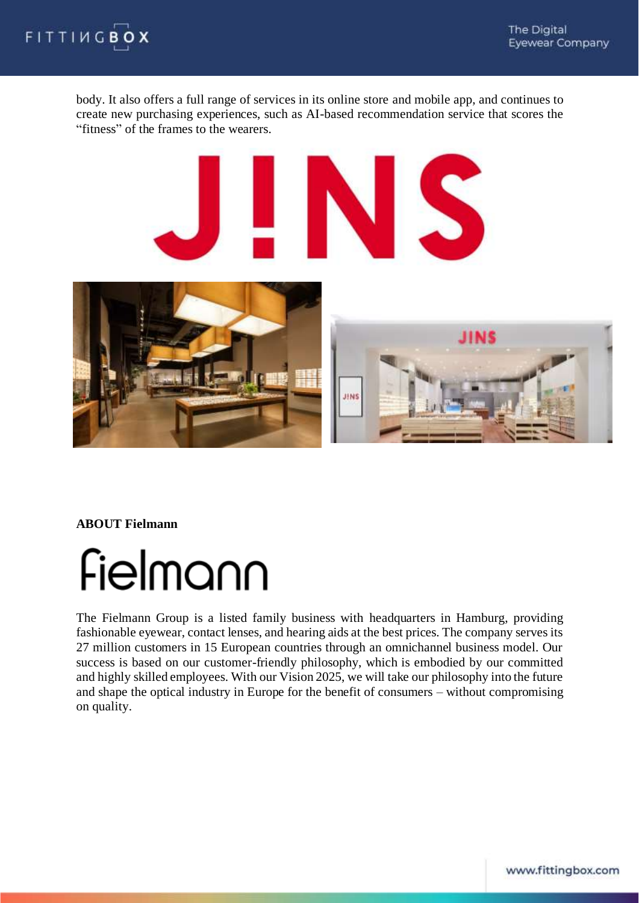

body. It also offers a full range of services in its online store and mobile app, and continues to create new purchasing experiences, such as AI-based recommendation service that scores the "fitness" of the frames to the wearers.



**ABOUT Fielmann** 



The Fielmann Group is a listed family business with headquarters in Hamburg, providing fashionable eyewear, contact lenses, and hearing aids at the best prices. The company serves its 27 million customers in 15 European countries through an omnichannel business model. Our success is based on our customer-friendly philosophy, which is embodied by our committed and highly skilled employees. With our Vision 2025, we will take our philosophy into the future and shape the optical industry in Europe for the benefit of consumers – without compromising on quality.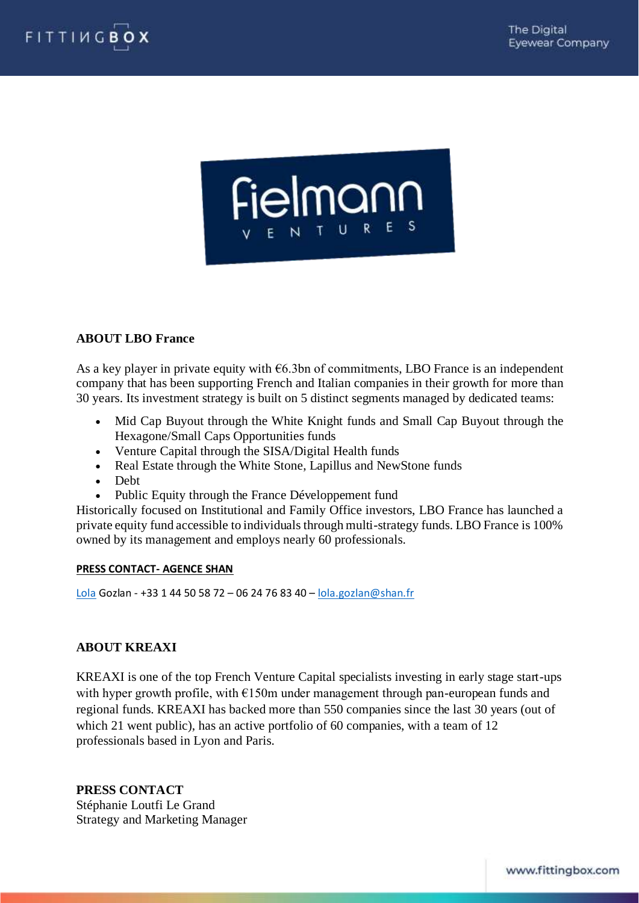



## **ABOUT LBO France**

As a key player in private equity with  $66.3$ bn of commitments, LBO France is an independent company that has been supporting French and Italian companies in their growth for more than 30 years. Its investment strategy is built on 5 distinct segments managed by dedicated teams:

- Mid Cap Buyout through the White Knight funds and Small Cap Buyout through the Hexagone/Small Caps Opportunities funds
- Venture Capital through the SISA/Digital Health funds
- Real Estate through the White Stone, Lapillus and NewStone funds
- Debt
- Public Equity through the France Développement fund

Historically focused on Institutional and Family Office investors, LBO France has launched a private equity fund accessible to individuals through multi-strategy funds. LBO France is 100% owned by its management and employs nearly 60 professionals.

#### **PRESS CONTACT- AGENCE SHAN**

[Lola](mailto:Lola) Gozlan - +33 1 44 50 58 72 – 06 24 76 83 40 – [lola.gozlan@shan.fr](mailto:lola.gozlan@shan.fr)

## **ABOUT KREAXI**

KREAXI is one of the top French Venture Capital specialists investing in early stage start-ups with hyper growth profile, with  $E150m$  under management through pan-european funds and regional funds. KREAXI has backed more than 550 companies since the last 30 years (out of which 21 went public), has an active portfolio of 60 companies, with a team of 12 professionals based in Lyon and Paris.

**PRESS CONTACT**  Stéphanie Loutfi Le Grand Strategy and Marketing Manager